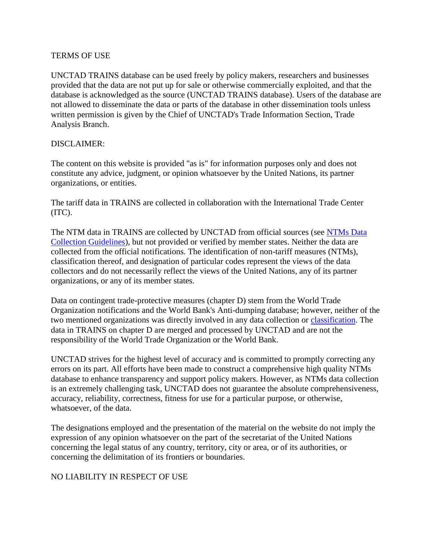## TERMS OF USE

UNCTAD TRAINS database can be used freely by policy makers, researchers and businesses provided that the data are not put up for sale or otherwise commercially exploited, and that the database is acknowledged as the source (UNCTAD TRAINS database). Users of the database are not allowed to disseminate the data or parts of the database in other dissemination tools unless written permission is given by the Chief of UNCTAD's Trade Information Section, Trade Analysis Branch.

## DISCLAIMER:

The content on this website is provided "as is" for information purposes only and does not constitute any advice, judgment, or opinion whatsoever by the United Nations, its partner organizations, or entities.

The tariff data in TRAINS are collected in collaboration with the International Trade Center (ITC).

The NTM data in TRAINS are collected by UNCTAD from official sources (see NTMs Data [Collection Guidelines\)](http://unctad.org/en/PublicationsLibrary/ditctab2014d4_en.pdf), but not provided or verified by member states. Neither the data are collected from the official notifications. The identification of non-tariff measures (NTMs), classification thereof, and designation of particular codes represent the views of the data collectors and do not necessarily reflect the views of the United Nations, any of its partner organizations, or any of its member states.

Data on contingent trade-protective measures (chapter D) stem from the World Trade Organization notifications and the World Bank's Anti-dumping database; however, neither of the two mentioned organizations was directly involved in any data collection or [classification.](http://unctad.org/en/Pages/DITC/Trade-Analysis/Non-Tariff-Measures/NTMs-Classification.aspx) The data in TRAINS on chapter D are merged and processed by UNCTAD and are not the responsibility of the World Trade Organization or the World Bank.

UNCTAD strives for the highest level of accuracy and is committed to promptly correcting any errors on its part. All efforts have been made to construct a comprehensive high quality NTMs database to enhance transparency and support policy makers. However, as NTMs data collection is an extremely challenging task, UNCTAD does not guarantee the absolute comprehensiveness, accuracy, reliability, correctness, fitness for use for a particular purpose, or otherwise, whatsoever, of the data.

The designations employed and the presentation of the material on the website do not imply the expression of any opinion whatsoever on the part of the secretariat of the United Nations concerning the legal status of any country, territory, city or area, or of its authorities, or concerning the delimitation of its frontiers or boundaries.

## NO LIABILITY IN RESPECT OF USE